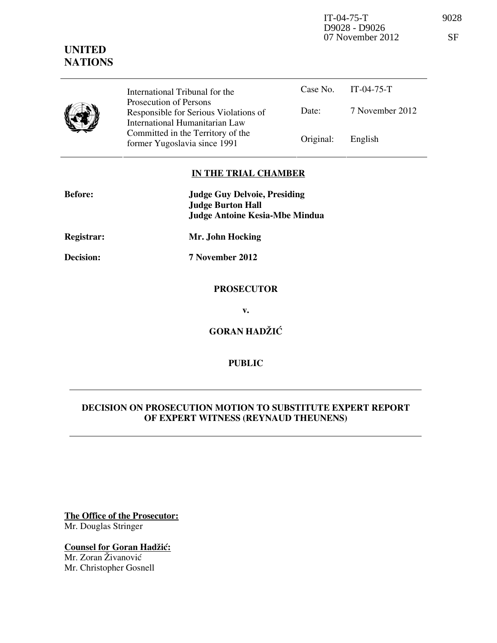IT-04-75-T 9028 D9028 - D9026 07 November 2012 SF

## **UNITED NATIONS**

| International Tribunal for the<br>Prosecution of Persons<br>Responsible for Serious Violations of<br>International Humanitarian Law<br>Committed in the Territory of the |
|--------------------------------------------------------------------------------------------------------------------------------------------------------------------------|
|                                                                                                                                                                          |

| International Tribunal for the        |                   | Case No. IT-04-75-T |
|---------------------------------------|-------------------|---------------------|
| Prosecution of Persons                |                   |                     |
| Responsible for Serious Violations of | Date:             | 7 November 2012     |
| International Humanitarian Law        |                   |                     |
| Committed in the Territory of the     |                   |                     |
| former Yugoslavia since 1991          | Original: English |                     |

## **IN THE TRIAL CHAMBER**

| <b>Before:</b>    | <b>Judge Guy Delvoie, Presiding</b><br><b>Judge Burton Hall</b><br><b>Judge Antoine Kesia-Mbe Mindua</b> |
|-------------------|----------------------------------------------------------------------------------------------------------|
| <b>Registrar:</b> | Mr. John Hocking                                                                                         |
| Decision:         | 7 November 2012                                                                                          |
|                   | <b>PROSECUTOR</b>                                                                                        |

**v.** 

**GORAN HADŽIĆ** 

## **PUBLIC**

## **DECISION ON PROSECUTION MOTION TO SUBSTITUTE EXPERT REPORT OF EXPERT WITNESS (REYNAUD THEUNENS)**

**The Office of the Prosecutor:** Mr. Douglas Stringer

**Counsel for Goran Hadžić:** Mr. Zoran Živanović Mr. Christopher Gosnell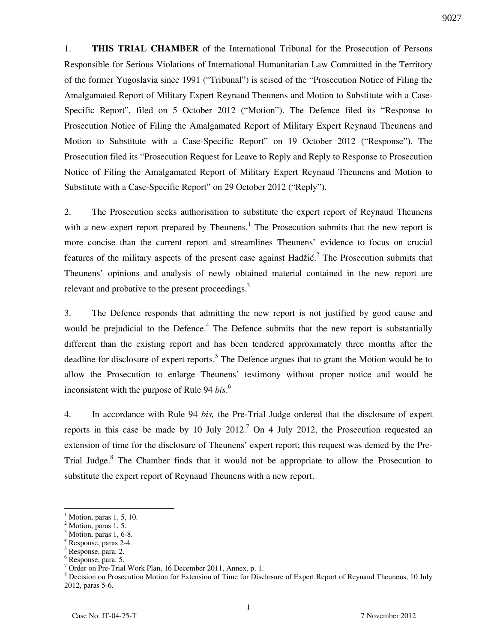1. **THIS TRIAL CHAMBER** of the International Tribunal for the Prosecution of Persons Responsible for Serious Violations of International Humanitarian Law Committed in the Territory of the former Yugoslavia since 1991 ("Tribunal") is seised of the "Prosecution Notice of Filing the Amalgamated Report of Military Expert Reynaud Theunens and Motion to Substitute with a Case-Specific Report", filed on 5 October 2012 ("Motion"). The Defence filed its "Response to Prosecution Notice of Filing the Amalgamated Report of Military Expert Reynaud Theunens and Motion to Substitute with a Case-Specific Report" on 19 October 2012 ("Response"). The Prosecution filed its "Prosecution Request for Leave to Reply and Reply to Response to Prosecution Notice of Filing the Amalgamated Report of Military Expert Reynaud Theunens and Motion to Substitute with a Case-Specific Report" on 29 October 2012 ("Reply").

2. The Prosecution seeks authorisation to substitute the expert report of Reynaud Theunens with a new expert report prepared by Theunens.<sup>1</sup> The Prosecution submits that the new report is more concise than the current report and streamlines Theunens' evidence to focus on crucial features of the military aspects of the present case against Hadžić.<sup>2</sup> The Prosecution submits that Theunens' opinions and analysis of newly obtained material contained in the new report are relevant and probative to the present proceedings. $3$ 

3. The Defence responds that admitting the new report is not justified by good cause and would be prejudicial to the Defence.<sup>4</sup> The Defence submits that the new report is substantially different than the existing report and has been tendered approximately three months after the deadline for disclosure of expert reports.<sup>5</sup> The Defence argues that to grant the Motion would be to allow the Prosecution to enlarge Theunens' testimony without proper notice and would be inconsistent with the purpose of Rule 94 *bis*. 6

4. In accordance with Rule 94 *bis,* the Pre-Trial Judge ordered that the disclosure of expert reports in this case be made by 10 July 2012.<sup>7</sup> On 4 July 2012, the Prosecution requested an extension of time for the disclosure of Theunens' expert report; this request was denied by the Pre-Trial Judge.<sup>8</sup> The Chamber finds that it would not be appropriate to allow the Prosecution to substitute the expert report of Reynaud Theunens with a new report.

 $\overline{a}$ 

<sup>1</sup> Motion, paras 1, 5, 10.

 $^2$  Motion, paras 1, 5.

Motion, paras 1, 6-8.

<sup>4</sup> Response, paras 2-4.

<sup>5</sup> Response, para. 2.

<sup>6</sup> Response, para. 5.

<sup>7</sup> Order on Pre-Trial Work Plan, 16 December 2011, Annex, p. 1.

<sup>&</sup>lt;sup>8</sup> Decision on Prosecution Motion for Extension of Time for Disclosure of Expert Report of Reynaud Theunens, 10 July 2012, paras 5-6.